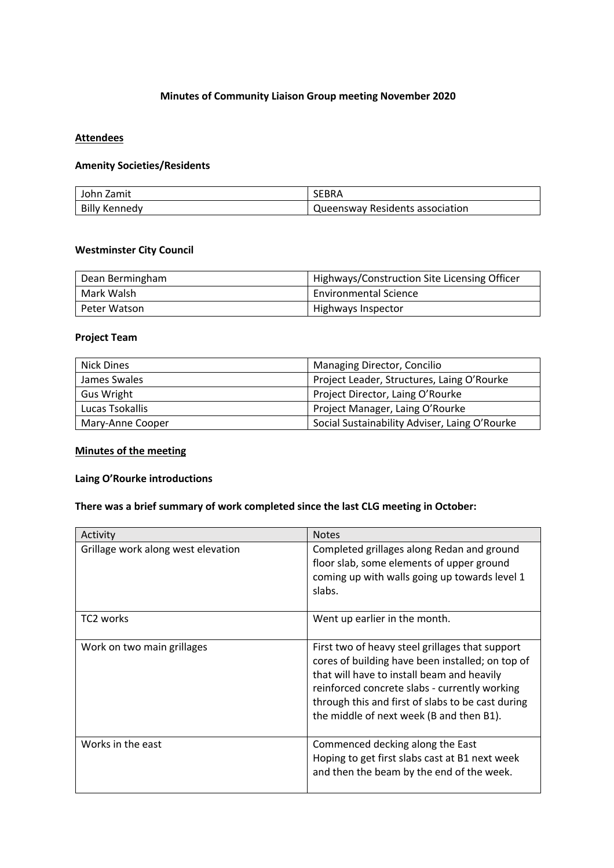# **Minutes of Community Liaison Group meeting November 2020**

#### **Attendees**

# **Amenity Societies/Residents**

| John Zamit           | <b>SEBRA</b>                    |
|----------------------|---------------------------------|
| <b>Billy Kennedy</b> | Queensway Residents association |

#### **Westminster City Council**

| Dean Bermingham | Highways/Construction Site Licensing Officer |
|-----------------|----------------------------------------------|
| Mark Walsh      | <b>Environmental Science</b>                 |
| Peter Watson    | Highways Inspector                           |

# **Project Team**

| <b>Nick Dines</b> | Managing Director, Concilio                   |
|-------------------|-----------------------------------------------|
| James Swales      | Project Leader, Structures, Laing O'Rourke    |
| <b>Gus Wright</b> | Project Director, Laing O'Rourke              |
| Lucas Tsokallis   | Project Manager, Laing O'Rourke               |
| Mary-Anne Cooper  | Social Sustainability Adviser, Laing O'Rourke |

# **Minutes of the meeting**

#### **Laing O'Rourke introductions**

# **There was a brief summary of work completed since the last CLG meeting in October:**

| Activity                           | <b>Notes</b>                                                                                                                                                                                                                                                                                        |
|------------------------------------|-----------------------------------------------------------------------------------------------------------------------------------------------------------------------------------------------------------------------------------------------------------------------------------------------------|
| Grillage work along west elevation | Completed grillages along Redan and ground<br>floor slab, some elements of upper ground<br>coming up with walls going up towards level 1<br>slabs.                                                                                                                                                  |
| TC <sub>2</sub> works              | Went up earlier in the month.                                                                                                                                                                                                                                                                       |
| Work on two main grillages         | First two of heavy steel grillages that support<br>cores of building have been installed; on top of<br>that will have to install beam and heavily<br>reinforced concrete slabs - currently working<br>through this and first of slabs to be cast during<br>the middle of next week (B and then B1). |
| Works in the east                  | Commenced decking along the East<br>Hoping to get first slabs cast at B1 next week<br>and then the beam by the end of the week.                                                                                                                                                                     |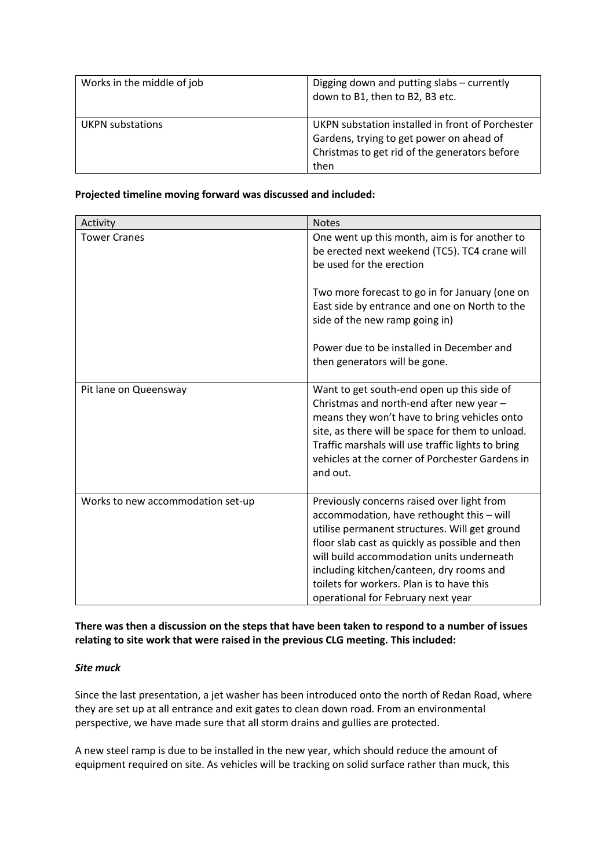| Works in the middle of job | Digging down and putting slabs – currently<br>down to B1, then to B2, B3 etc.                                                                         |
|----------------------------|-------------------------------------------------------------------------------------------------------------------------------------------------------|
| <b>UKPN</b> substations    | UKPN substation installed in front of Porchester<br>Gardens, trying to get power on ahead of<br>Christmas to get rid of the generators before<br>then |

### **Projected timeline moving forward was discussed and included:**

| Activity                          | <b>Notes</b>                                                                                                                                                                                                                                                                                                                                                            |
|-----------------------------------|-------------------------------------------------------------------------------------------------------------------------------------------------------------------------------------------------------------------------------------------------------------------------------------------------------------------------------------------------------------------------|
| <b>Tower Cranes</b>               | One went up this month, aim is for another to<br>be erected next weekend (TC5). TC4 crane will<br>be used for the erection                                                                                                                                                                                                                                              |
|                                   | Two more forecast to go in for January (one on<br>East side by entrance and one on North to the<br>side of the new ramp going in)                                                                                                                                                                                                                                       |
|                                   | Power due to be installed in December and<br>then generators will be gone.                                                                                                                                                                                                                                                                                              |
| Pit lane on Queensway             | Want to get south-end open up this side of<br>Christmas and north-end after new year -<br>means they won't have to bring vehicles onto<br>site, as there will be space for them to unload.<br>Traffic marshals will use traffic lights to bring<br>vehicles at the corner of Porchester Gardens in<br>and out.                                                          |
| Works to new accommodation set-up | Previously concerns raised over light from<br>accommodation, have rethought this - will<br>utilise permanent structures. Will get ground<br>floor slab cast as quickly as possible and then<br>will build accommodation units underneath<br>including kitchen/canteen, dry rooms and<br>toilets for workers. Plan is to have this<br>operational for February next year |

**There was then a discussion on the steps that have been taken to respond to a number of issues relating to site work that were raised in the previous CLG meeting. This included:** 

### *Site muck*

Since the last presentation, a jet washer has been introduced onto the north of Redan Road, where they are set up at all entrance and exit gates to clean down road. From an environmental perspective, we have made sure that all storm drains and gullies are protected.

A new steel ramp is due to be installed in the new year, which should reduce the amount of equipment required on site. As vehicles will be tracking on solid surface rather than muck, this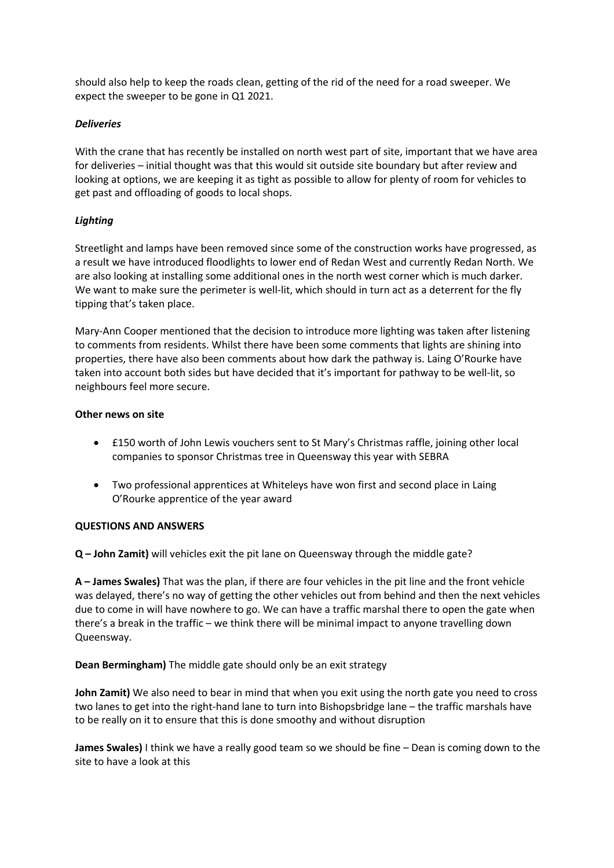should also help to keep the roads clean, getting of the rid of the need for a road sweeper. We expect the sweeper to be gone in Q1 2021.

## *Deliveries*

With the crane that has recently be installed on north west part of site, important that we have area for deliveries – initial thought was that this would sit outside site boundary but after review and looking at options, we are keeping it as tight as possible to allow for plenty of room for vehicles to get past and offloading of goods to local shops.

# *Lighting*

Streetlight and lamps have been removed since some of the construction works have progressed, as a result we have introduced floodlights to lower end of Redan West and currently Redan North. We are also looking at installing some additional ones in the north west corner which is much darker. We want to make sure the perimeter is well-lit, which should in turn act as a deterrent for the fly tipping that's taken place.

Mary-Ann Cooper mentioned that the decision to introduce more lighting was taken after listening to comments from residents. Whilst there have been some comments that lights are shining into properties, there have also been comments about how dark the pathway is. Laing O'Rourke have taken into account both sides but have decided that it's important for pathway to be well-lit, so neighbours feel more secure.

### **Other news on site**

- £150 worth of John Lewis vouchers sent to St Mary's Christmas raffle, joining other local companies to sponsor Christmas tree in Queensway this year with SEBRA
- Two professional apprentices at Whiteleys have won first and second place in Laing O'Rourke apprentice of the year award

### **QUESTIONS AND ANSWERS**

**Q – John Zamit)** will vehicles exit the pit lane on Queensway through the middle gate?

**A – James Swales)** That was the plan, if there are four vehicles in the pit line and the front vehicle was delayed, there's no way of getting the other vehicles out from behind and then the next vehicles due to come in will have nowhere to go. We can have a traffic marshal there to open the gate when there's a break in the traffic – we think there will be minimal impact to anyone travelling down Queensway.

**Dean Bermingham)** The middle gate should only be an exit strategy

**John Zamit)** We also need to bear in mind that when you exit using the north gate you need to cross two lanes to get into the right-hand lane to turn into Bishopsbridge lane – the traffic marshals have to be really on it to ensure that this is done smoothy and without disruption

**James Swales)** I think we have a really good team so we should be fine – Dean is coming down to the site to have a look at this